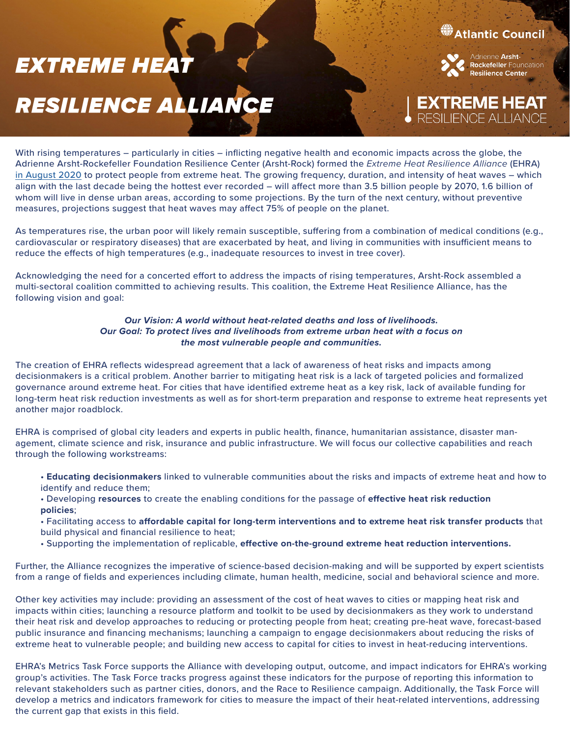# **EXTREME HEA**

# **Atlantic Council**



**EXTREME HEAT**<br>RESILIENCE ALLIANCE

# *RESILIENCE ALLIANCE*

With rising temperatures – particularly in cities – inflicting negative health and economic impacts across the globe, the Adrienne Arsht-Rockefeller Foundation Resilience Center (Arsht-Rock) formed the *Extreme Heat Resilience Alliance* (EHRA) [in August 2020](https://www.onebillionresilient.org/post/extreme-heat-resilience-alliance-reducing-extreme-heat-risk-for-vulnerable-people) to protect people from extreme heat. The growing frequency, duration, and intensity of heat waves – which align with the last decade being the hottest ever recorded – will affect more than 3.5 billion people by 2070, 1.6 billion of whom will live in dense urban areas, according to some projections. By the turn of the next century, without preventive measures, projections suggest that heat waves may affect 75% of people on the planet.

As temperatures rise, the urban poor will likely remain susceptible, suffering from a combination of medical conditions (e.g., cardiovascular or respiratory diseases) that are exacerbated by heat, and living in communities with insufficient means to reduce the effects of high temperatures (e.g., inadequate resources to invest in tree cover).

Acknowledging the need for a concerted effort to address the impacts of rising temperatures, Arsht-Rock assembled a multi-sectoral coalition committed to achieving results. This coalition, the Extreme Heat Resilience Alliance, has the following vision and goal:

### *Our Vision: A world without heat-related deaths and loss of livelihoods. Our Goal: To protect lives and livelihoods from extreme urban heat with a focus on the most vulnerable people and communities.*

The creation of EHRA reflects widespread agreement that a lack of awareness of heat risks and impacts among decisionmakers is a critical problem. Another barrier to mitigating heat risk is a lack of targeted policies and formalized governance around extreme heat. For cities that have identified extreme heat as a key risk, lack of available funding for long-term heat risk reduction investments as well as for short-term preparation and response to extreme heat represents yet another major roadblock.

EHRA is comprised of global city leaders and experts in public health, finance, humanitarian assistance, disaster management, climate science and risk, insurance and public infrastructure. We will focus our collective capabilities and reach through the following workstreams:

- **Educating decisionmakers** linked to vulnerable communities about the risks and impacts of extreme heat and how to identify and reduce them;
- Developing **resources** to create the enabling conditions for the passage of **effective heat risk reduction policies**;
- Facilitating access to **affordable capital for long-term interventions and to extreme heat risk transfer products** that build physical and financial resilience to heat;
- Supporting the implementation of replicable, **effective on-the-ground extreme heat reduction interventions.**

Further, the Alliance recognizes the imperative of science-based decision-making and will be supported by expert scientists from a range of fields and experiences including climate, human health, medicine, social and behavioral science and more.

Other key activities may include: providing an assessment of the cost of heat waves to cities or mapping heat risk and impacts within cities; launching a resource platform and toolkit to be used by decisionmakers as they work to understand their heat risk and develop approaches to reducing or protecting people from heat; creating pre-heat wave, forecast-based public insurance and financing mechanisms; launching a campaign to engage decisionmakers about reducing the risks of extreme heat to vulnerable people; and building new access to capital for cities to invest in heat-reducing interventions.

EHRA's Metrics Task Force supports the Alliance with developing output, outcome, and impact indicators for EHRA's working group's activities. The Task Force tracks progress against these indicators for the purpose of reporting this information to relevant stakeholders such as partner cities, donors, and the Race to Resilience campaign. Additionally, the Task Force will develop a metrics and indicators framework for cities to measure the impact of their heat-related interventions, addressing the current gap that exists in this field.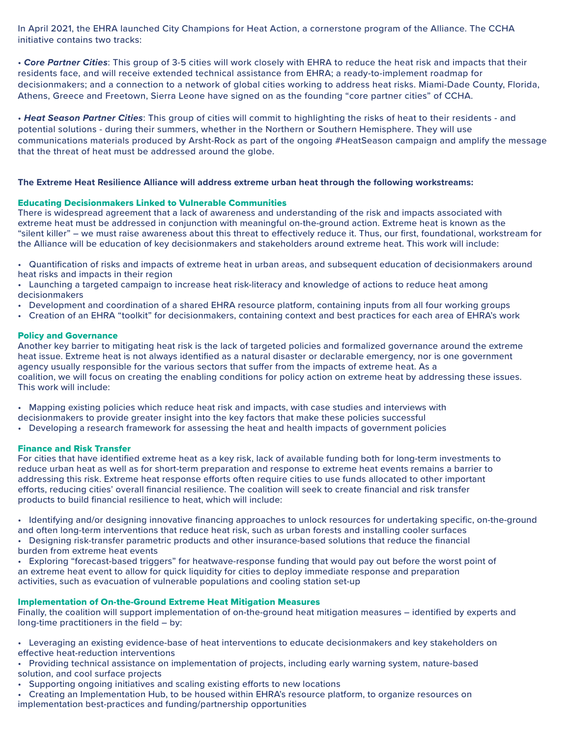In April 2021, the EHRA launched City Champions for Heat Action, a cornerstone program of the Alliance. The CCHA initiative contains two tracks:

• *Core Partner Cities*: This group of 3-5 cities will work closely with EHRA to reduce the heat risk and impacts that their residents face, and will receive extended technical assistance from EHRA; a ready-to-implement roadmap for decisionmakers; and a connection to a network of global cities working to address heat risks. Miami-Dade County, Florida, Athens, Greece and Freetown, Sierra Leone have signed on as the founding "core partner cities" of CCHA.

• *Heat Season Partner Cities*: This group of cities will commit to highlighting the risks of heat to their residents - and potential solutions - during their summers, whether in the Northern or Southern Hemisphere. They will use communications materials produced by Arsht-Rock as part of the ongoing #HeatSeason campaign and amplify the message that the threat of heat must be addressed around the globe.

#### **The Extreme Heat Resilience Alliance will address extreme urban heat through the following workstreams:**

#### Educating Decisionmakers Linked to Vulnerable Communities

There is widespread agreement that a lack of awareness and understanding of the risk and impacts associated with extreme heat must be addressed in conjunction with meaningful on-the-ground action. Extreme heat is known as the "silent killer" – we must raise awareness about this threat to effectively reduce it. Thus, our first, foundational, workstream for the Alliance will be education of key decisionmakers and stakeholders around extreme heat. This work will include:

• Quantification of risks and impacts of extreme heat in urban areas, and subsequent education of decisionmakers around heat risks and impacts in their region

• Launching a targeted campaign to increase heat risk-literacy and knowledge of actions to reduce heat among decisionmakers

- Development and coordination of a shared EHRA resource platform, containing inputs from all four working groups
- Creation of an EHRA "toolkit" for decisionmakers, containing context and best practices for each area of EHRA's work

#### Policy and Governance

Another key barrier to mitigating heat risk is the lack of targeted policies and formalized governance around the extreme heat issue. Extreme heat is not always identified as a natural disaster or declarable emergency, nor is one government agency usually responsible for the various sectors that suffer from the impacts of extreme heat. As a coalition, we will focus on creating the enabling conditions for policy action on extreme heat by addressing these issues. This work will include:

• Mapping existing policies which reduce heat risk and impacts, with case studies and interviews with

decisionmakers to provide greater insight into the key factors that make these policies successful

• Developing a research framework for assessing the heat and health impacts of government policies

#### Finance and Risk Transfer

For cities that have identified extreme heat as a key risk, lack of available funding both for long-term investments to reduce urban heat as well as for short-term preparation and response to extreme heat events remains a barrier to addressing this risk. Extreme heat response efforts often require cities to use funds allocated to other important efforts, reducing cities' overall financial resilience. The coalition will seek to create financial and risk transfer products to build financial resilience to heat, which will include:

• Identifying and/or designing innovative financing approaches to unlock resources for undertaking specific, on-the-ground and often long-term interventions that reduce heat risk, such as urban forests and installing cooler surfaces

• Designing risk-transfer parametric products and other insurance-based solutions that reduce the financial

burden from extreme heat events

• Exploring "forecast-based triggers" for heatwave-response funding that would pay out before the worst point of an extreme heat event to allow for quick liquidity for cities to deploy immediate response and preparation activities, such as evacuation of vulnerable populations and cooling station set-up

#### Implementation of On-the-Ground Extreme Heat Mitigation Measures

Finally, the coalition will support implementation of on-the-ground heat mitigation measures – identified by experts and long-time practitioners in the field – by:

• Leveraging an existing evidence-base of heat interventions to educate decisionmakers and key stakeholders on effective heat-reduction interventions

• Providing technical assistance on implementation of projects, including early warning system, nature-based solution, and cool surface projects

• Supporting ongoing initiatives and scaling existing efforts to new locations

• Creating an Implementation Hub, to be housed within EHRA's resource platform, to organize resources on implementation best-practices and funding/partnership opportunities